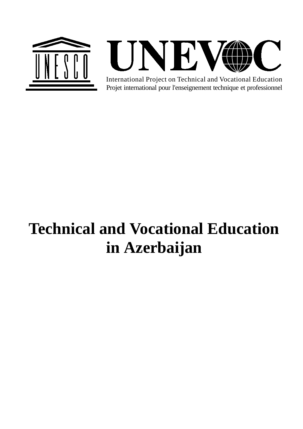



Projet international pour l'enseignement technique et professionnel International Project on Technical and Vocational Education

# **Technical and Vocational Education in Azerbaijan**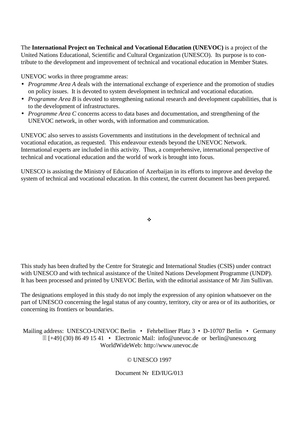The **International Project on Technical and Vocational Education (UNEVOC)** is a project of the United Nations Educational, Scientific and Cultural Organization (UNESCO). Its purpose is to contribute to the development and improvement of technical and vocational education in Member States.

UNEVOC works in three programme areas:

- *Programme Area A* deals with the international exchange of experience and the promotion of studies on policy issues. It is devoted to system development in technical and vocational education.
- *Programme Area B* is devoted to strengthening national research and development capabilities, that is to the development of infrastructures.
- *Programme Area C* concerns access to data bases and documentation, and strengthening of the UNEVOC network, in other words, with information and communication.

UNEVOC also serves to assists Governments and institutions in the development of technical and vocational education, as requested. This endeavour extends beyond the UNEVOC Network. International experts are included in this activity. Thus, a comprehensive, international perspective of technical and vocational education and the world of work is brought into focus.

UNESCO is assisting the Ministry of Education of Azerbaijan in its efforts to improve and develop the system of technical and vocational education. In this context, the current document has been prepared.

÷

This study has been drafted by the Centre for Strategic and International Studies (CSIS) under contract with UNESCO and with technical assistance of the United Nations Development Programme (UNDP). It has been processed and printed by UNEVOC Berlin, with the editorial assistance of Mr Jim Sullivan.

The designations employed in this study do not imply the expression of any opinion whatsoever on the part of UNESCO concerning the legal status of any country, territory, city or area or of its authorities, or concerning its frontiers or boundaries.

Mailing address: UNESCO-UNEVOC Berlin • Fehrbelliner Platz 3 • D-10707 Berlin • Germany - [+49] (30) 86 49 15 41 • Electronic Mail: info@unevoc.de or berlin@unesco.org WorldWideWeb: http://www.unevoc.de

#### © UNESCO 1997

Document Nr ED/IUG/013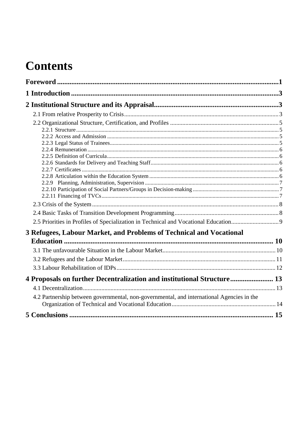## **Contents**

| 3 Refugees, Labour Market, and Problems of Technical and Vocational                       |  |
|-------------------------------------------------------------------------------------------|--|
|                                                                                           |  |
|                                                                                           |  |
|                                                                                           |  |
|                                                                                           |  |
| 4 Proposals on further Decentralization and institutional Structure 13                    |  |
|                                                                                           |  |
| 4.2 Partnership between governmental, non-governmental, and international Agencies in the |  |
|                                                                                           |  |
|                                                                                           |  |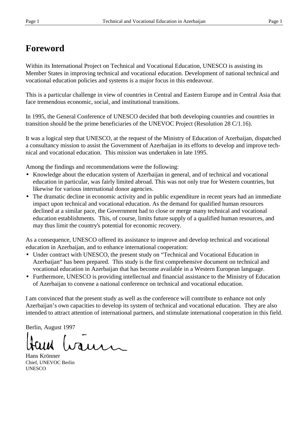## **Foreword**

Within its International Project on Technical and Vocational Education, UNESCO is assisting its Member States in improving technical and vocational education. Development of national technical and vocational education policies and systems is a major focus in this endeavour.

This is a particular challenge in view of countries in Central and Eastern Europe and in Central Asia that face tremendous economic, social, and institutional transitions.

In 1995, the General Conference of UNESCO decided that both developing countries and countries in transition should be the prime beneficiaries of the UNEVOC Project (Resolution 28 C/1.16).

It was a logical step that UNESCO, at the request of the Ministry of Education of Azerbaijan, dispatched a consultancy mission to assist the Government of Azerbaijan in its efforts to develop and improve technical and vocational education. This mission was undertaken in late 1995.

Among the findings and recommendations were the following:

- Knowledge about the education system of Azerbaijan in general, and of technical and vocational education in particular, was fairly limited abroad. This was not only true for Western countries, but likewise for various international donor agencies.
- The dramatic decline in economic activity and in public expenditure in recent years had an immediate impact upon technical and vocational education. As the demand for qualified human resources declined at a similar pace, the Government had to close or merge many technical and vocational education establishments. This, of course, limits future supply of a qualified human resources, and may thus limit the country's potential for economic recovery.

As a consequence, UNESCO offered its assistance to improve and develop technical and vocational education in Azerbaijan, and to enhance international cooperation:

- Under contract with UNESCO, the present study on "Technical and Vocational Education in Azerbaijan" has been prepared. This study is the first comprehensive document on technical and vocational education in Azerbaijan that has become available in a Western European language.
- Furthermore, UNESCO is providing intellectual and financial assistance to the Ministry of Education of Azerbaijan to convene a national conference on technical and vocational education.

I am convinced that the present study as well as the conference will contribute to enhance not only Azerbaijan's own capacities to develop its system of technical and vocational education. They are also intended to attract attention of international partners, and stimulate international cooperation in this field.

Berlin, August 1997

vaun

Hans Krönner Chief, UNEVOC Berlin **UNESCO**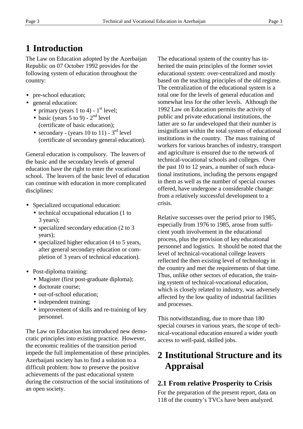## **1 Introduction**

The Law on Education adopted by the Azerbaijan Republic on 07 October 1992 provides for the following system of education throughout the country:

- pre-school education;
- general education:
	- primary (years 1 to 4)  $1<sup>st</sup>$  level;
	- basic (years  $5$  to  $9$ )  $2<sup>nd</sup>$  level (certificate of basic education);
	- secondary (years 10 to 11)  $3<sup>rd</sup>$  level (certificate of secondary general education).

General education is compulsory. The leavers of the basic and the secondary levels of general education have the right to enter the vocational school. The leavers of the basic level of education can continue with education in more complicated disciplines:

- Specialized occupational education:
	- technical occupational education (1 to 3 years);
	- specialized secondary education (2 to 3) years);
	- specialized higher education (4 to 5 years, after general secondary education or completion of 3 years of technical education).
- Post-diploma training:
	- Magister (first post-graduate diploma);
	- doctorate course;
	- out-of-school education;
	- independent training;
	- improvement of skills and re-training of key personnel.

The Law on Education has introduced new democratic principles into existing practice. However, the economic realities of the transition period impede the full implementation of these principles. Azerbaijani society has to find a solution to a difficult problem: how to preserve the positive achievements of the past educational system during the construction of the social institutions of an open society.

The educational system of the country has inherited the main principles of the former soviet educational system: over-centralized and mostly based on the teaching principles of the old regime. The centralization of the educational system is a total one for the levels of general education and somewhat less for the other levels. Although the 1992 Law on Education permits the activity of public and private educational institutions, the latter are so far undeveloped that their number is insignificant within the total system of educational institutions in the country. The mass training of workers for various branches of industry, transport and agriculture is ensured due to the network of technical-vocational schools and colleges. Over the past 10 to 12 years, a number of such educational institutions, including the persons engaged in them as well as the number of special courses offered, have undergone a considerable change: from a relatively successful development to a crisis.

Relative successes over the period prior to 1985, especially from 1976 to 1985, arose from sufficient youth involvement in the educational process, plus the provision of key educational personnel and logistics. It should be noted that the level of technical-vocational college leavers reflected the then existing level of technology in the country and met the requirements of that time. Thus, unlike other sectors of education, the training system of technical-vocational education, which is closely related to industry, was adversely affected by the low quality of industrial facilities and processes.

This notwithstanding, due to more than 180 special courses in various years, the scope of technical-vocational education ensured a wider youth access to well-paid, skilled jobs.

## **2 Institutional Structure and its Appraisal**

#### **2.1 From relative Prosperity to Crisis**

For the preparation of the present report, data on 118 of the country's TVCs have been analyzed.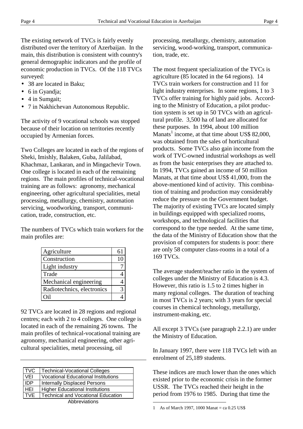The existing network of TVCs is fairly evenly distributed over the territory of Azerbaijan. In the main, this distribution is consistent with country's general demographic indicators and the profile of economic production in TVCs. Of the 118 TVCs surveyed:

- 38 are located in Baku;
- 6 in Gyandja;
- 4 in Sumgait;
- 7 in Nakhichevan Autonomous Republic.

The activity of 9 vocational schools was stopped because of their location on territories recently occupied by Armenian forces.

Two Colleges are located in each of the regions of Sheki, Imishly, Balaken, Guba, Jalilabad, Khachmaz, Lankaran, and in Mingachevir Town. One college is located in each of the remaining regions. The main profiles of technical-vocational training are as follows: agronomy, mechanical engineering, other agricultural specialities, metal processing, metallurgy, chemistry, automation servicing, woodworking, transport, communication, trade, construction, etc.

The numbers of TVCs which train workers for the main profiles are:

| Agriculture                | 61 |
|----------------------------|----|
| Construction               | 10 |
| Light industry             |    |
| Trade                      |    |
| Mechanical engineering     |    |
| Radiotechnics, electronics | 3  |
| ∩il                        |    |

92 TVCs are located in 28 regions and regional centres; each with 2 to 4 colleges. One college is located in each of the remaining 26 towns. The main profiles of technical-vocational training are agronomy, mechanical engineering, other agricultural specialities, metal processing, oil

| <b>TVC</b>    | <b>Technical-Vocational Colleges</b>       |  |  |
|---------------|--------------------------------------------|--|--|
| VEI           | <b>Vocational Educational Institutions</b> |  |  |
| <b>IDP</b>    | <b>Internally Displaced Persons</b>        |  |  |
| HEI           | <b>Higher Educational Institutions</b>     |  |  |
| <b>TVE</b>    | <b>Technical and Vocational Education</b>  |  |  |
| Abbreviations |                                            |  |  |

processing, metallurgy, chemistry, automation servicing, wood-working, transport, communication, trade, etc.

The most frequent specialization of the TVCs is agriculture (85 located in the 64 regions). 14 TVCs train workers for construction and 11 for light industry enterprises. In some regions, 1 to 3 TVCs offer training for highly paid jobs. According to the Ministry of Education, a pilot production system is set up in 50 TVCs with an agricultural profile. 3,500 ha of land are allocated for these purposes. In 1994, about 100 million Manats<sup>1</sup> income, at that time about US\$ 82,000, was obtained from the sales of horticultural products. Some TVCs also gain income from the work of TVC-owned industrial workshops as well as from the basic enterprises they are attached to. In 1994, TVCs gained an income of 50 million Manats, at that time about US\$ 41,000, from the above-mentioned kind of activity. This combination of training and production may considerably reduce the pressure on the Government budget. The majority of existing TVCs are located simply in buildings equipped with specialized rooms, workshops, and technological facilities that correspond to the type needed. At the same time, the data of the Ministry of Education show that the provision of computers for students is poor: there are only 58 computer class-rooms in a total of a 169 TVCs.

The average student/teacher ratio in the system of colleges under the Ministry of Education is 4.3. However, this ratio is 1.5 to 2 times higher in many regional colleges. The duration of teaching in most TVCs is 2 years; with 3 years for special courses in chemical technology, metallurgy, instrument-making, etc.

All except 3 TVCs (see paragraph 2.2.1) are under the Ministry of Education.

In January 1997, there were 118 TVCs left with an enrolment of 25,189 students.

These indices are much lower than the ones which existed prior to the economic crisis in the former USSR. The TVCs reached their height in the period from 1976 to 1985. During that time the

 $\overline{a}$ 

<sup>1</sup> As of March 1997, 1000 Manat = ca  $0.25$  US\$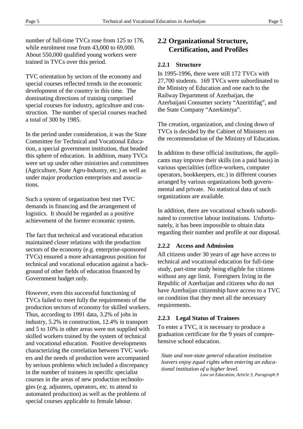number of full-time TVCs rose from 125 to 176, while enrolment rose from 43,000 to 69,000. About 550,000 qualified young workers were trained in TVCs over this period.

TVC orientation by sectors of the economy and special courses reflected trends in the economic development of the country in this time. The dominating directions of training comprised special courses for industry, agriculture and construction. The number of special courses reached a total of 300 by 1985.

In the period under consideration, it was the State Committee for Technical and Vocational Education, a special government institution, that headed this sphere of education. In addition, many TVCs were set up under other ministries and committees (Agriculture, State Agro-Industry, etc.) as well as under major production enterprises and associations.

Such a system of organization best met TVC demands in financing and the arrangement of logistics. It should be regarded as a positive achievement of the former economic system.

The fact that technical and vocational education maintained closer relations with the production sectors of the economy (e.g. enterprise-sponsored TVCs) ensured a more advantageous position for technical and vocational education against a background of other fields of education financed by Government budget only.

However, even this successful functioning of TVCs failed to meet fully the requirements of the production sectors of economy for skilled workers. Thus, according to 1991 data, 3.2% of jobs in industry, 5.2% in construction, 12.4% in transport and 5 to 10% in other areas were not supplied with skilled workers trained by the system of technical and vocational education. Positive developments characterizing the correlation between TVC workers and the needs of production were accompanied by serious problems which included a discrepancy in the number of trainees in specific specialist courses in the areas of new production technologies (e.g. adjusters, operators, etc. to attend to automated production) as well as the problems of special courses applicable to female labour.

#### **2.2 Organizational Structure, Certification, and Profiles**

#### **2.2.1 Structure**

In 1995-1996, there were still 172 TVCs with 27,700 students. 169 TVCs were subordinated to the Ministry of Education and one each to the Railway Department of Azerbaijan, the Azerbaijani Consumer society "Azerittifag", and the State Company "Azerkimiya".

The creation, organization, and closing down of TVCs is decided by the Cabinet of Ministers on the recommendation of the Ministry of Education.

In addition to these official institutions, the applicants may improve their skills (on a paid basis) in various specialities (office-workers, computer operators, bookkeepers, etc.) in different courses arranged by various organizations both governmental and private. No statistical data of such organizations are available.

In addition, there are vocational schools subordinated to corrective labour institutions. Unfortunately, it has been impossible to obtain data regarding their number and profile at our disposal.

#### **2.2.2 Access and Admission**

All citizens under 30 years of age have access to technical and vocational education for full-time study, part-time study being eligible for citizens without any age limit. Foreigners living in the Republic of Azerbaijan and citizens who do not have Azerbaijan citizenship have access to a TVC on condition that they meet all the necessary requirements.

#### **2.2.3 Legal Status of Trainees**

To enter a TVC, it is necessary to produce a graduation certificate for the 9 years of comprehensive school education.

*State and non-state general education institution leavers enjoy equal rights when entering an educational institution of a higher level.*

*Law on Education, Article 3, Paragraph 9*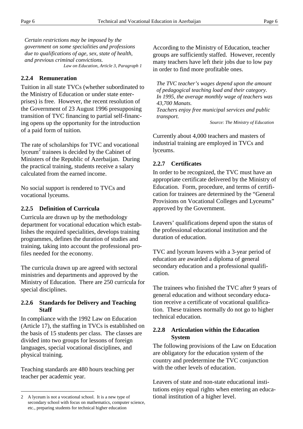*Certain restrictions may be imposed by the government on some specialities and professions due to qualifications of age, sex, state of health, and previous criminal convictions. Law on Education, Article 3, Paragraph 1*

#### **2.2.4 Remuneration**

Tuition in all state TVCs (whether subordinated to the Ministry of Education or under state enterprises) is free. However, the recent resolution of the Government of 23 August 1996 presupposing transition of TVC financing to partial self-financing opens up the opportunity for the introduction of a paid form of tuition.

The rate of scholarships for TVC and vocational lyceum<sup>2</sup> trainees is decided by the Cabinet of Ministers of the Republic of Azerbaijan. During the practical training, students receive a salary calculated from the earned income.

No social support is rendered to TVCs and vocational lyceums.

#### **2.2.5 Definition of Curricula**

Curricula are drawn up by the methodology department for vocational education which establishes the required specialities, develops training programmes, defines the duration of studies and training, taking into account the professional profiles needed for the economy.

The curricula drawn up are agreed with sectoral ministries and departments and approved by the Ministry of Education. There are 250 curricula for special disciplines.

#### **2.2.6 Standards for Delivery and Teaching Staff**

In compliance with the 1992 Law on Education (Article 17), the staffing in TVCs is established on the basis of 15 students per class. The classes are divided into two groups for lessons of foreign languages, special vocational disciplines, and physical training.

Teaching standards are 480 hours teaching per teacher per academic year.

 $\overline{a}$ 

According to the Ministry of Education, teacher groups are sufficiently staffed. However, recently many teachers have left their jobs due to low pay in order to find more profitable ones.

*The TVC teacher's wages depend upon the amount of pedagogical teaching load and their category. In 1995, the average monthly wage of teachers was 43,700 Manats.*

*Teachers enjoy free municipal services and public transport.*

*Source: The Ministry of Education*

Currently about 4,000 teachers and masters of industrial training are employed in TVCs and lyceums.

#### **2.2.7 Certificates**

In order to be recognized, the TVC must have an appropriate certificate delivered by the Ministry of Education. Form, procedure, and terms of certification for trainees are determined by the "General Provisions on Vocational Colleges and Lyceums" approved by the Government.

Leavers' qualifications depend upon the status of the professional educational institution and the duration of education.

TVC and lyceum leavers with a 3-year period of education are awarded a diploma of general secondary education and a professional qualification.

The trainees who finished the TVC after 9 years of general education and without secondary education receive a certificate of vocational qualification. These trainees normally do not go to higher technical education.

#### **2.2.8 Articulation within the Education System**

The following provisions of the Law on Education are obligatory for the education system of the country and predetermine the TVC conjunction with the other levels of education.

Leavers of state and non-state educational institutions enjoy equal rights when entering an educational institution of a higher level.

<sup>2</sup> A lyceum is not a vocational school. It is a new type of secondary school with focus on mathematics, computer science, etc., preparing students for technical higher education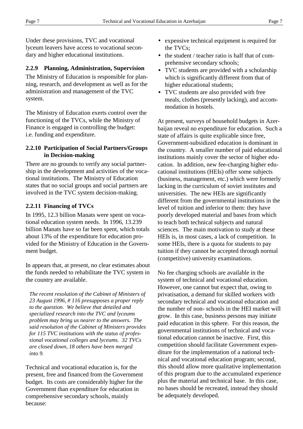Under these provisions, TVC and vocational lyceum leavers have access to vocational secondary and higher educational institutions.

#### **2.2.9 Planning, Administration, Supervision**

The Ministry of Education is responsible for planning, research, and development as well as for the administration and management of the TVC system.

The Ministry of Education exerts control over the functioning of the TVCs, while the Ministry of Finance is engaged in controlling the budget: i.e. funding and expenditure.

#### **2.2.10 Participation of Social Partners/Groups in Decision-making**

There are no grounds to verify any social partnership in the development and activities of the vocational institutions. The Ministry of Education states that no social groups and social partners are involved in the TVC system decision-making.

#### **2.2.11 Financing of TVCs**

In 1995, 12.3 billion Manats were spent on vocational education system needs. In 1996, 13.239 billion Manats have so far been spent, which totals about 13% of the expenditure for education provided for the Ministry of Education in the Government budget.

In appears that, at present, no clear estimates about the funds needed to rehabilitate the TVC system in the country are available.

*The recent resolution of the Cabinet of Ministers of 23 August 1996, # 116 presupposes a proper reply to the question. We believe that detailed and specialized research into the TVC and lyceums problem may bring us nearer to the answers. The said resolution of the Cabinet of Ministers provides for 115 TVC institutions with the status of professional vocational colleges and lyceums. 32 TVCs are closed down, 18 others have been merged into 9.*

Technical and vocational education is, for the present, free and financed from the Government budget. Its costs are considerably higher for the Government than expenditure for education in comprehensive secondary schools, mainly because:

- expensive technical equipment is required for the TVCs;
- the student / teacher ratio is half that of comprehensive secondary schools;
- TVC students are provided with a scholarship which is significantly different from that of higher educational students;
- TVC students are also provided with free meals, clothes (presently lacking), and accommodation in hostels.

At present, surveys of household budgets in Azerbaijan reveal no expenditure for education. Such a state of affairs is quite explicable since free, Government-subsidized education is dominant in the country. A smaller number of paid educational institutions mainly cover the sector of higher education. In addition, new fee-charging higher educational institutions (HEIs) offer some subjects (business, management, etc.) which were formerly lacking in the curriculum of soviet institutes and universities. The new HEIs are significantly different from the governmental institutions in the level of tuition and inferior to them: they have poorly developed material and bases from which to teach both technical subjects and natural sciences. The main motivation to study at these HEIs is, in most cases, a lack of competition. In some HEIs, there is a quota for students to pay tuition if they cannot be accepted through normal (competitive) university examinations.

No fee charging schools are available in the system of technical and vocational education. However, one cannot but expect that, owing to privatisation, a demand for skilled workers with secondary technical and vocational education and the number of non- schools in the HEI market will grow. In this case, business persons may initiate paid education in this sphere. For this reason, the governmental institutions of technical and vocational education cannot be inactive. First, this competition should facilitate Government expenditure for the implementation of a national technical and vocational education program; second, this should allow more qualitative implementation of this program due to the accumulated experience plus the material and technical base. In this case, no bases should be recreated, instead they should be adequately developed.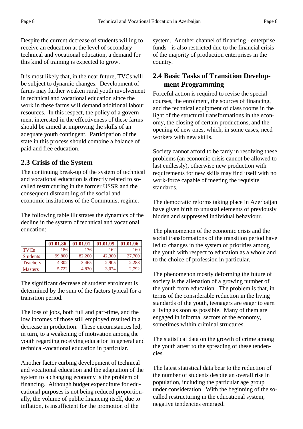Despite the current decrease of students willing to receive an education at the level of secondary technical and vocational education, a demand for this kind of training is expected to grow.

It is most likely that, in the near future, TVCs will be subject to dynamic changes. Development of farms may further weaken rural youth involvement in technical and vocational education since the work in these farms will demand additional labour resources. In this respect, the policy of a government interested in the effectiveness of these farms should be aimed at improving the skills of an adequate youth contingent. Participation of the state in this process should combine a balance of paid and free education.

#### **2.3 Crisis of the System**

The continuing break-up of the system of technical and vocational education is directly related to socalled restructuring in the former USSR and the consequent dismantling of the social and economic institutions of the Communist regime.

The following table illustrates the dynamics of the decline in the system of technical and vocational education:

|                 | 01.01.86 | 01.01.91 | 01.01.95 | 01.01.96 |
|-----------------|----------|----------|----------|----------|
| <b>TVCs</b>     | 186      | 176      | 162      | 160      |
| <b>Students</b> | 99,800   | 82,200   | 42,300   | 27,700   |
| <b>Teachers</b> | 4.302    | 3,465    | 2.905    | 2,288    |
| <b>Masters</b>  | 5,722    | 4,830    | 3,074    | 2,792    |

The significant decrease of student enrolment is determined by the sum of the factors typical for a transition period.

The loss of jobs, both full and part-time, and the low incomes of those still employed resulted in a decrease in production. These circumstances led, in turn, to a weakening of motivation among the youth regarding receiving education in general and technical-vocational education in particular.

Another factor curbing development of technical and vocational education and the adaptation of the system to a changing economy is the problem of financing. Although budget expenditure for educational purposes is not being reduced proportionally, the volume of public financing itself, due to inflation, is insufficient for the promotion of the

system. Another channel of financing - enterprise funds - is also restricted due to the financial crisis of the majority of production enterprises in the country.

#### **2.4 Basic Tasks of Transition Development Programming**

Forceful action is required to revise the special courses, the enrolment, the sources of financing, and the technical equipment of class rooms in the light of the structural transformations in the economy, the closing of certain productions, and the opening of new ones, which, in some cases, need workers with new skills.

Society cannot afford to be tardy in resolving these problems (an economic crisis cannot be allowed to last endlessly), otherwise new production with requirements for new skills may find itself with no work-force capable of meeting the requisite standards.

The democratic reforms taking place in Azerbaijan have given birth to unusual elements of previously hidden and suppressed individual behaviour.

The phenomenon of the economic crisis and the social transformations of the transition period have led to changes in the system of priorities among the youth with respect to education as a whole and to the choice of profession in particular.

The phenomenon mostly deforming the future of society is the alienation of a growing number of the youth from education. The problem is that, in terms of the considerable reduction in the living standards of the youth, teenagers are eager to earn a living as soon as possible. Many of them are engaged in informal sectors of the economy, sometimes within criminal structures.

The statistical data on the growth of crime among the youth attest to the spreading of these tendencies.

The latest statistical data bear to the reduction of the number of students despite an overall rise in population, including the particular age group under consideration. With the beginning of the socalled restructuring in the educational system, negative tendencies emerged.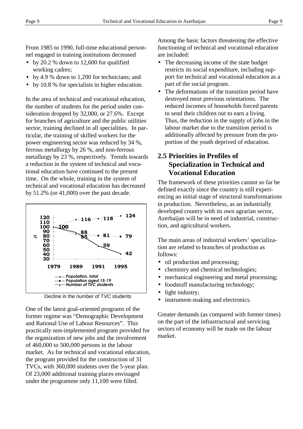From 1985 to 1990, full-time educational personnel engaged in training institutions decreased

- by 20.2 % down to 12,600 for qualified working cadres;
- by 4.9 % down to 1,200 for technicians; and
- by 10.8 % for specialists in higher education.

In the area of technical and vocational education, the number of students for the period under consideration dropped by 32,000, or 27.6%. Except for branches of agriculture and the public utilities sector, training declined in all specialities. In particular, the training of skilled workers for the power engineering sector was reduced by 34 %, ferrous metallurgy by 26 %, and non-ferrous metallurgy by 23 %, respectively. Trends towards a reduction in the system of technical and vocational education have continued to the present time. On the whole, training in the system of technical and vocational education has decreased by 51.2% (or 41,000) over the past decade.



Decline in the number of TVC students

One of the latest goal-oriented programs of the former regime was "Demographic Development and Rational Use of Labour Resources". This practically non-implemented program provided for the organization of new jobs and the involvement of 460,000 to 500,000 persons in the labour market. As for technical and vocational education, the program provided for the construction of 31 TVCs, with 360,000 students over the 5-year plan. Of 23,000 additional training places envisaged under the programme only 11,100 were filled.

Among the basic factors threatening the effective functioning of technical and vocational education are included:

- The decreasing income of the state budget restricts its social expenditure, including support for technical and vocational education as a part of the social program.
- The deformations of the transition period have destroyed most previous orientations. The reduced incomes of households forced parents to send their children out to earn a living. Thus, the reduction in the supply of jobs in the labour market due to the transition period is additionally affected by pressure from the proportion of the youth deprived of education.

#### **2.5 Priorities in Profiles of Specialization in Technical and Vocational Education**

The framework of these priorities cannot so far be defined exactly since the country is still experiencing an initial stage of structural transformations in production. Nevertheless, as an industrially developed country with its own agrarian sector, Azerbaijan will be in need of industrial, construction, and agricultural workers.

The main areas of industrial workers' specialization are related to branches of production as follows:

- oil production and processing;
- chemistry and chemical technologies;
- mechanical engineering and metal processing;
- foodstuff manufacturing technology;
- light industry;
- instrument-making and electronics.

Greater demands (as compared with former times) on the part of the infrastructural and servicing sectors of economy will be made on the labour market.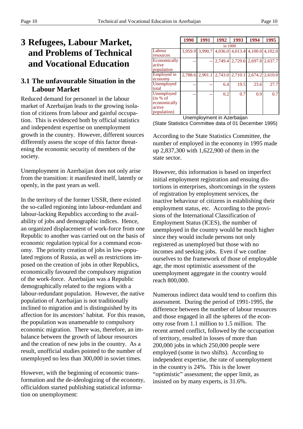## **3 Refugees, Labour Market, and Problems of Technical and Vocational Education**

#### **3.1 The unfavourable Situation in the Labour Market**

Reduced demand for personnel in the labour market of Azerbaijan leads to the growing isolation of citizens from labour and gainful occupation. This is evidenced both by official statistics and independent expertise on unemployment growth in the country. However, different sources differently assess the scope of this factor threatening the economic security of members of the society.

Unemployment in Azerbaijan does not only arise from the transition: it manifested itself, latently or openly, in the past years as well.

In the territory of the former USSR, there existed the so-called regioning into labour-redundant and labour-lacking Republics according to the availability of jobs and demographic indices. Hence, an organized displacement of work-force from one Republic to another was carried out on the basis of economic regulation typical for a command economy. The priority creation of jobs in low-populated regions of Russia, as well as restrictions imposed on the creation of jobs in other Republics, economically favoured the compulsory migration of the work-force. Azerbaijan was a Republic demographically related to the regions with a labour-redundant population. However, the native population of Azerbaijan is not traditionally inclined to migration and is distinguished by its affection for its ancestors' habitat. For this reason, the population was unamenable to compulsory economic migration. There was, therefore, an imbalance between the growth of labour resources and the creation of new jobs in the country. As a result, unofficial studies pointed to the number of unemployed no less than 300,000 in soviet times.

However, with the beginning of economic transformation and the de-ideologizing of the economy, officialdom started publishing statistical information on unemployment:

|                                                                 | 1990    | 1991    | 1992 | 1993                                    | 1994 | 1995 |  |
|-----------------------------------------------------------------|---------|---------|------|-----------------------------------------|------|------|--|
|                                                                 | in 1000 |         |      |                                         |      |      |  |
| Labour<br>resources                                             | 3.959.9 |         |      | 3,990.7 4,036.0 4,013.4 4,100.0 4,102.0 |      |      |  |
| Economically<br>active<br>population                            |         |         |      | 2,749.4 2,729.6 2,697.8 2,637.7         |      |      |  |
| Employed in<br>economy                                          | 2.788.6 | 2,901.1 |      | 2,743.0 2,710.1 2,674.2 2,610.0         |      |      |  |
| Unemployed<br>total                                             |         |         | 6.4  | 19.5                                    | 23.6 | 27.7 |  |
| Unemployed<br>(in % of<br>economically<br>active<br>population) |         |         | 0.2  | 0.7                                     | 0.9  | 0.7  |  |

Unemployment in Azerbaijan (State Statistics Committee data of 01 December 1995)

According to the State Statistics Committee, the number of employed in the economy in 1995 made up 2,837,300 with 1,622,900 of them in the state sector.

However, this information is based on imperfect initial employment registration and ensuing distortions in enterprises, shortcomings in the system of registration by employment services, the inactive behaviour of citizens in establishing their employment status, etc. According to the provisions of the International Classification of Employment Status (ICES), the number of unemployed in the country would be much higher since they would include persons not only registered as unemployed but those with no incomes and seeking jobs. Even if we confine ourselves to the framework of those of employable age, the most optimistic assessment of the unemployment aggregate in the country would reach 800,000.

Numerous indirect data would tend to confirm this assessment. During the period of 1991-1995, the difference between the number of labour resources and those engaged in all the spheres of the economy rose from 1.1 million to 1.5 million. The recent armed conflict, followed by the occupation of territory, resulted in losses of more than 200,000 jobs in which 250,000 people were employed (some in two shifts). According to independent expertise, the rate of unemployment in the country is 24%. This is the lower "optimistic" assessment; the upper limit, as insisted on by many experts, is 31.6%.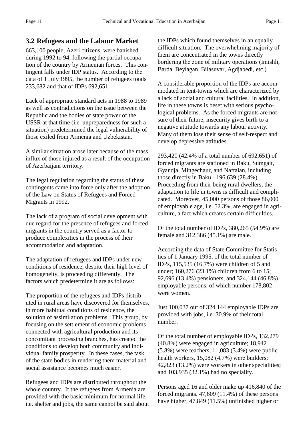#### **3.2 Refugees and the Labour Market**

663,100 people, Azeri citizens, were banished during 1992 to 94, following the partial occupation of the country by Armenian forces. This contingent falls under IDP status. According to the data of 1 July 1995, the number of refugees totals 233,682 and that of IDPs 692,651.

Lack of appropriate standard acts in 1988 to 1989 as well as contradictions on the issue between the Republic and the bodies of state power of the USSR at that time (i.e. unpreparedness for such a situation) predetermined the legal vulnerability of those exiled from Armenia and Uzbekistan.

A similar situation arose later because of the mass influx of those injured as a result of the occupation of Azerbaijani territory.

The legal regulation regarding the status of these contingents came into force only after the adoption of the Law on Status of Refugees and Forced Migrants in 1992.

The lack of a program of social development with due regard for the presence of refugees and forced migrants in the country served as a factor to produce complexities in the process of their accommodation and adaptation.

The adaptation of refugees and IDPs under new conditions of residence, despite their high level of homogeneity, is proceeding differently. The factors which predetermine it are as follows:

The proportion of the refugees and IDPs distributed in rural areas have discovered for themselves, in more habitual conditions of residence, the solution of assimilation problems. This group, by focusing on the settlement of economic problems connected with agricultural production and its concomitant processing branches, has created the conditions to develop both community and individual family prosperity. In these cases, the task of the state bodies in rendering them material and social assistance becomes much easier.

Refugees and IDPs are distributed throughout the whole country. If the refugees from Armenia are provided with the basic minimum for normal life, i.e. shelter and jobs, the same cannot be said about the IDPs which found themselves in an equally difficult situation. The overwhelming majority of them are concentrated in the towns directly bordering the zone of military operations (Imishli, Barda, Beylagan, Bilasuvar, Agdjabedi, etc.)

A considerable proportion of the IDPs are accommodated in tent-towns which are characterized by a lack of social and cultural facilities. In addition, life in these towns is beset with serious psychological problems. As the forced migrants are not sure of their future, insecurity gives birth to a negative attitude towards any labour activity. Many of them lose their sense of self-respect and develop depressive attitudes.

293,420 (42.4% of a total number of 692,651) of forced migrants are stationed in Baku, Sumgait, Gyandja, Mingechaur, and Naftalan, including those directly in Baku - 196,639 (28.4%). Proceeding from their being rural dwellers, the adaptation to life in towns is difficult and complicated. Moreover, 45,000 persons of those 86,000 of employable age, i.e. 52.3%, are engaged in agriculture, a fact which creates certain difficulties.

Of the total number of IDPs, 380,265 (54.9%) are female and 312,386 (45.1%) are male.

According the data of State Committee for Statistics of 1 January 1995, of the total number of IDPs, 115,535 (16.7%) were children of 5 and under; 160,276 (23.1%) children from 6 to 15; 92,696 (13.4%) pensioners, and 324,144 (46.8%) employable persons, of which number 178,802 were women.

Just 100,037 out of 324,144 employable IDPs are provided with jobs, i.e. 30.9% of their total number.

Of the total number of employable IDPs, 132,279 (40.8%) were engaged in agriculture; 18,942 (5.8%) were teachers, 11,083 (3.4%) were public health workers, 15,082 (4.7%) were builders; 42,823 (13.2%) were workers in other specialities; and 103,935 (32.1%) had no speciality.

Persons aged 16 and older make up 416,840 of the forced migrants. 47,609 (11.4%) of these persons have higher, 47,849 (11.5%) unfinished higher or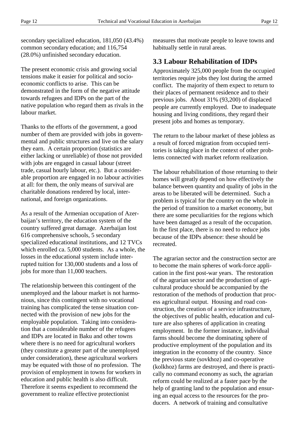secondary specialized education, 181,050 (43.4%) common secondary education; and 116,754 (28.0%) unfinished secondary education.

The present economic crisis and growing social tensions make it easier for political and socioeconomic conflicts to arise. This can be demonstrated in the form of the negative attitude towards refugees and IDPs on the part of the native population who regard them as rivals in the labour market.

Thanks to the efforts of the government, a good number of them are provided with jobs in governmental and public structures and live on the salary they earn. A certain proportion (statistics are either lacking or unreliable) of those not provided with jobs are engaged in casual labour (street trade, casual hourly labour, etc.). But a considerable proportion are engaged in no labour activities at all: for them, the only means of survival are charitable donations rendered by local, international, and foreign organizations.

As a result of the Armenian occupation of Azerbaijan's territory, the education system of the country suffered great damage. Azerbaijan lost 616 comprehensive schools, 5 secondary specialized educational institutions, and 12 TVCs which enrolled ca. 5,000 students. As a whole, the losses in the educational system include interrupted tuition for 130,000 students and a loss of jobs for more than 11,000 teachers.

The relationship between this contingent of the unemployed and the labour market is not harmonious, since this contingent with no vocational training has complicated the tense situation connected with the provision of new jobs for the employable population. Taking into consideration that a considerable number of the refugees and IDPs are located in Baku and other towns where there is no need for agricultural workers (they constitute a greater part of the unemployed under consideration), these agricultural workers may be equated with those of no profession. The provision of employment in towns for workers in education and public health is also difficult. Therefore it seems expedient to recommend the government to realize effective protectionist

measures that motivate people to leave towns and habitually settle in rural areas.

#### **3.3 Labour Rehabilitation of IDPs**

Approximately 325,000 people from the occupied territories require jobs they lost during the armed conflict. The majority of them expect to return to their places of permanent residence and to their previous jobs. About 31% (93,200) of displaced people are currently employed. Due to inadequate housing and living conditions, they regard their present jobs and homes as temporary.

The return to the labour market of these jobless as a result of forced migration from occupied territories is taking place in the context of other problems connected with market reform realization.

The labour rehabilitation of those returning to their homes will greatly depend on how effectively the balance between quantity and quality of jobs in the areas to be liberated will be determined. Such a problem is typical for the country on the whole in the period of transition to a market economy, but there are some peculiarities for the regions which have been damaged as a result of the occupation. In the first place, there is no need to reduce jobs because of the IDPs absence: these should be recreated.

The agrarian sector and the construction sector are to become the main spheres of work-force application in the first post-war years. The restoration of the agrarian sector and the production of agricultural produce should be accompanied by the restoration of the methods of production that process agricultural output. Housing and road construction, the creation of a service infrastructure, the objectives of public health, education and culture are also spheres of application in creating employment. In the former instance, individual farms should become the dominating sphere of productive employment of the population and its integration in the economy of the country. Since the previous state (sovkhoz) and co-operative (kolkhoz) farms are destroyed, and there is practically no command economy as such, the agrarian reform could be realized at a faster pace by the help of granting land to the population and ensuring an equal access to the resources for the producers. A network of training and consultative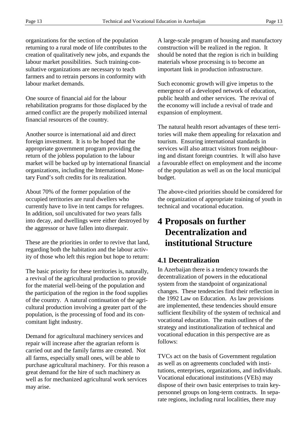organizations for the section of the population returning to a rural mode of life contributes to the creation of qualitatively new jobs, and expands the labour market possibilities. Such training-consultative organizations are necessary to teach farmers and to retrain persons in conformity with labour market demands.

One source of financial aid for the labour rehabilitation programs for those displaced by the armed conflict are the properly mobilized internal financial resources of the country.

Another source is international aid and direct foreign investment. It is to be hoped that the appropriate government program providing the return of the jobless population to the labour market will be backed up by international financial organizations, including the International Monetary Fund's soft credits for its realization.

About 70% of the former population of the occupied territories are rural dwellers who currently have to live in tent camps for refugees. In addition, soil uncultivated for two years falls into decay, and dwellings were either destroyed by the aggressor or have fallen into disrepair.

These are the priorities in order to revive that land, regarding both the habitation and the labour activity of those who left this region but hope to return:

The basic priority for these territories is, naturally, a revival of the agricultural production to provide for the material well-being of the population and the participation of the region in the food supplies of the country. A natural continuation of the agricultural production involving a greater part of the population, is the processing of food and its concomitant light industry.

Demand for agricultural machinery services and repair will increase after the agrarian reform is carried out and the family farms are created. Not all farms, especially small ones, will be able to purchase agricultural machinery. For this reason a great demand for the hire of such machinery as well as for mechanized agricultural work services may arise.

A large-scale program of housing and manufactory construction will be realized in the region. It should be noted that the region is rich in building materials whose processing is to become an important link in production infrastructure.

Such economic growth will give impetus to the emergence of a developed network of education, public health and other services. The revival of the economy will include a revival of trade and expansion of employment.

The natural health resort advantages of these territories will make them appealing for relaxation and tourism. Ensuring international standards in services will also attract visitors from neighbouring and distant foreign countries. It will also have a favourable effect on employment and the income of the population as well as on the local municipal budget.

The above-cited priorities should be considered for the organization of appropriate training of youth in technical and vocational education.

## **4 Proposals on further Decentralization and institutional Structure**

#### **4.1 Decentralization**

In Azerbaijan there is a tendency towards the decentralization of powers in the educational system from the standpoint of organizational changes. These tendencies find their reflection in the 1992 Law on Education. As law provisions are implemented, these tendencies should ensure sufficient flexibility of the system of technical and vocational education. The main outlines of the strategy and institutionalization of technical and vocational education in this perspective are as follows:

TVCs act on the basis of Government regulation as well as on agreements concluded with institutions, enterprises, organizations, and individuals. Vocational educational institutions (VEIs) may dispose of their own basic enterprises to train keypersonnel groups on long-term contracts. In separate regions, including rural localities, there may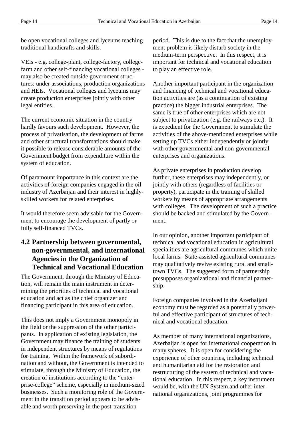be open vocational colleges and lyceums teaching traditional handicrafts and skills.

VEIs - e.g. college-plant, college-factory, collegefarm and other self-financing vocational colleges may also be created outside government structures: under associations, production organizations and HEIs. Vocational colleges and lyceums may create production enterprises jointly with other legal entities.

The current economic situation in the country hardly favours such development. However, the process of privatisation, the development of farms and other structural transformations should make it possible to release considerable amounts of the Government budget from expenditure within the system of education.

Of paramount importance in this context are the activities of foreign companies engaged in the oil industry of Azerbaijan and their interest in highlyskilled workers for related enterprises.

It would therefore seem advisable for the Government to encourage the development of partly or fully self-financed TVCs.

#### **4.2 Partnership between governmental, non-governmental, and international Agencies in the Organization of Technical and Vocational Education**

The Government, through the Ministry of Education, will remain the main instrument in determining the priorities of technical and vocational education and act as the chief organizer and financing participant in this area of education.

This does not imply a Government monopoly in the field or the suppression of the other participants. In application of existing legislation, the Government may finance the training of students in independent structures by means of regulations for training. Within the framework of subordination and without, the Government is intended to stimulate, through the Ministry of Education, the creation of institutions according to the "enterprise-college" scheme, especially in medium-sized businesses. Such a monitoring role of the Government in the transition period appears to be advisable and worth preserving in the post-transition

period. This is due to the fact that the unemployment problem is likely disturb society in the medium-term perspective. In this respect, it is important for technical and vocational education to play an effective role.

Another important participant in the organization and financing of technical and vocational education activities are (as a continuation of existing practice) the bigger industrial enterprises. The same is true of other enterprises which are not subject to privatization (e.g. the railways etc.). It is expedient for the Government to stimulate the activities of the above-mentioned enterprises while setting up TVCs either independently or jointly with other governmental and non-governmental enterprises and organizations.

As private enterprises in production develop further, these enterprises may independently, or jointly with others (regardless of facilities or property), participate in the training of skilled workers by means of appropriate arrangements with colleges. The development of such a practice should be backed and stimulated by the Government.

In our opinion, another important participant of technical and vocational education in agricultural specialities are agricultural communes which unite local farms. State-assisted agricultural communes may qualitatively revive existing rural and smalltown TVCs. The suggested form of partnership presupposes organizational and financial partnership.

Foreign companies involved in the Azerbaijani economy must be regarded as a potentially powerful and effective participant of structures of technical and vocational education.

As member of many international organizations, Azerbaijan is open for international cooperation in many spheres. It is open for considering the experience of other countries, including technical and humanitarian aid for the restoration and restructuring of the system of technical and vocational education. In this respect, a key instrument would be, with the UN System and other international organizations, joint programmes for